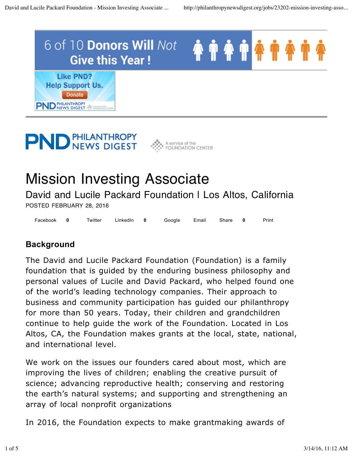

# **PND PHILANTHROPY**



# Mission Investing Associate

David and Lucile Packard Foundation I Los Altos, California POSTED FEBRUARY 28, 2016

Facebook 0 Twitter LinkedIn 0 Google Email Share 0 Print **0 0 0**

#### **Background**

The David and Lucile Packard Foundation (Foundation) is a family foundation that is guided by the enduring business philosophy and personal values of Lucile and David Packard, who helped found one of the world's leading technology companies. Their approach to business and community participation has guided our philanthropy for more than 50 years. Today, their children and grandchildren continue to help guide the work of the Foundation. Located in Los Altos, CA, the Foundation makes grants at the local, state, national, and international level.

We work on the issues our founders cared about most, which are improving the lives of children; enabling the creative pursuit of science; advancing reproductive health; conserving and restoring the earth's natural systems; and supporting and strengthening an array of local nonprofit organizations

In 2016, the Foundation expects to make grantmaking awards of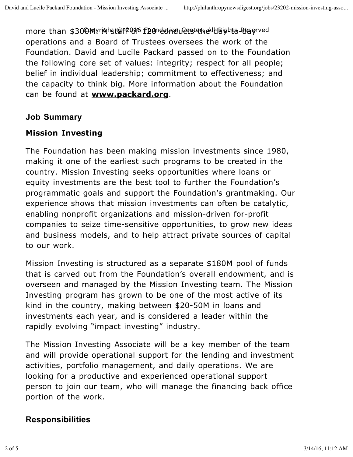more than \$300MYrighstஇfP046 f20 detinducts the lubighte Reserved operations and a Board of Trustees oversees the work of the Foundation. David and Lucile Packard passed on to the Foundation the following core set of values: integrity; respect for all people; belief in individual leadership; commitment to effectiveness; and the capacity to think big. More information about the Foundation can be found at **www.packard.org**.

## **Job Summary**

# **Mission Investing**

The Foundation has been making mission investments since 1980, making it one of the earliest such programs to be created in the country. Mission Investing seeks opportunities where loans or equity investments are the best tool to further the Foundation's programmatic goals and support the Foundation's grantmaking. Our experience shows that mission investments can often be catalytic, enabling nonprofit organizations and mission-driven for-profit companies to seize time-sensitive opportunities, to grow new ideas and business models, and to help attract private sources of capital to our work.

Mission Investing is structured as a separate \$180M pool of funds that is carved out from the Foundation's overall endowment, and is overseen and managed by the Mission Investing team. The Mission Investing program has grown to be one of the most active of its kind in the country, making between \$20-50M in loans and investments each year, and is considered a leader within the rapidly evolving "impact investing" industry.

The Mission Investing Associate will be a key member of the team and will provide operational support for the lending and investment activities, portfolio management, and daily operations. We are looking for a productive and experienced operational support person to join our team, who will manage the financing back office portion of the work.

# **Responsibilities**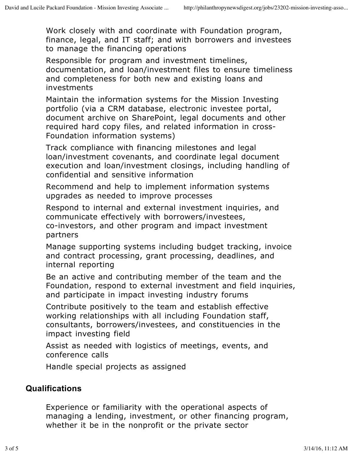Work closely with and coordinate with Foundation program, finance, legal, and IT staff; and with borrowers and investees to manage the financing operations

Responsible for program and investment timelines, documentation, and loan/investment files to ensure timeliness and completeness for both new and existing loans and investments

Maintain the information systems for the Mission Investing portfolio (via a CRM database, electronic investee portal, document archive on SharePoint, legal documents and other required hard copy files, and related information in cross-Foundation information systems)

Track compliance with financing milestones and legal loan/investment covenants, and coordinate legal document execution and loan/investment closings, including handling of confidential and sensitive information

Recommend and help to implement information systems upgrades as needed to improve processes

Respond to internal and external investment inquiries, and communicate effectively with borrowers/investees, co-investors, and other program and impact investment partners

Manage supporting systems including budget tracking, invoice and contract processing, grant processing, deadlines, and internal reporting

Be an active and contributing member of the team and the Foundation, respond to external investment and field inquiries, and participate in impact investing industry forums

Contribute positively to the team and establish effective working relationships with all including Foundation staff, consultants, borrowers/investees, and constituencies in the impact investing field

Assist as needed with logistics of meetings, events, and conference calls

Handle special projects as assigned

## **Qualifications**

Experience or familiarity with the operational aspects of managing a lending, investment, or other financing program, whether it be in the nonprofit or the private sector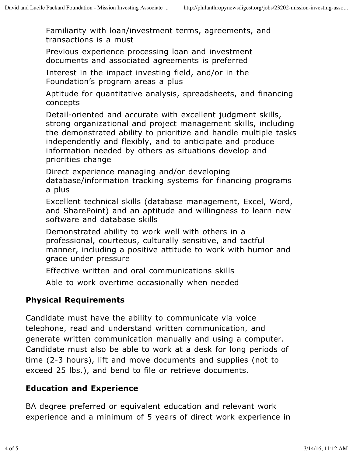Familiarity with loan/investment terms, agreements, and transactions is a must

Previous experience processing loan and investment documents and associated agreements is preferred

Interest in the impact investing field, and/or in the Foundation's program areas a plus

Aptitude for quantitative analysis, spreadsheets, and financing concepts

Detail-oriented and accurate with excellent judgment skills, strong organizational and project management skills, including the demonstrated ability to prioritize and handle multiple tasks independently and flexibly, and to anticipate and produce information needed by others as situations develop and priorities change

Direct experience managing and/or developing database/information tracking systems for financing programs a plus

Excellent technical skills (database management, Excel, Word, and SharePoint) and an aptitude and willingness to learn new software and database skills

Demonstrated ability to work well with others in a professional, courteous, culturally sensitive, and tactful manner, including a positive attitude to work with humor and grace under pressure

Effective written and oral communications skills

Able to work overtime occasionally when needed

#### **Physical Requirements**

Candidate must have the ability to communicate via voice telephone, read and understand written communication, and generate written communication manually and using a computer. Candidate must also be able to work at a desk for long periods of time (2-3 hours), lift and move documents and supplies (not to exceed 25 lbs.), and bend to file or retrieve documents.

#### **Education and Experience**

BA degree preferred or equivalent education and relevant work experience and a minimum of 5 years of direct work experience in